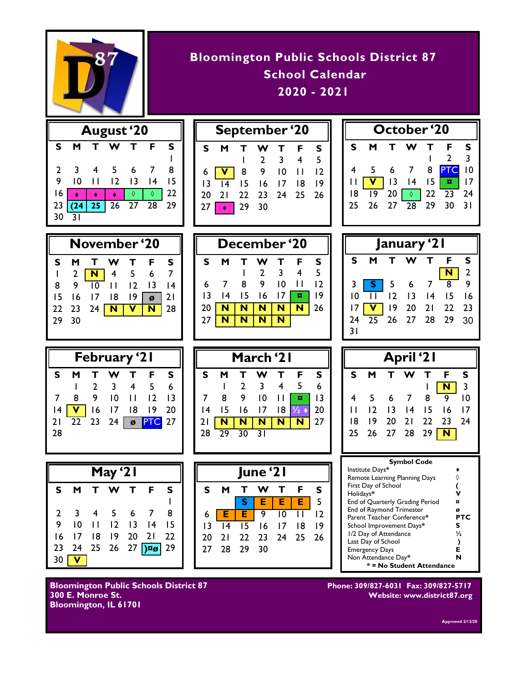

| <b>Bloomington Public Schools District 87</b> |
|-----------------------------------------------|
| School Calendar                               |
| $2020 - 2021$                                 |
|                                               |

| <b>August</b> '20 |                         |                |                 |                |            |              |  |  |
|-------------------|-------------------------|----------------|-----------------|----------------|------------|--------------|--|--|
| s                 | м                       |                |                 | т              | F          | $\mathsf{s}$ |  |  |
|                   |                         |                |                 |                |            |              |  |  |
| 2                 | $\overline{\mathbf{3}}$ | $\overline{4}$ | $5\overline{5}$ | - 6            |            | 8            |  |  |
| 9                 | 10                      | П              | 12              | $\overline{1}$ | 14         | 15           |  |  |
| 16                |                         |                |                 | ♦              | $\Diamond$ | 22           |  |  |
| 23                |                         |                | 25 26 27 28     |                |            | 29           |  |  |
| 30                | $\overline{3}1$         |                |                 |                |            |              |  |  |
|                   |                         |                |                 |                |            |              |  |  |

| September '20 |   |                 |                                |   |              |                 |  |
|---------------|---|-----------------|--------------------------------|---|--------------|-----------------|--|
| S             | м |                 |                                | т | $\mathsf{F}$ | S               |  |
|               |   |                 | $\overline{2}$                 |   | $3 \quad 4$  | .5              |  |
| $6 \parallel$ |   |                 | V 8 9 10                       |   | $\Box$       | $\overline{12}$ |  |
|               |   |                 | $13 \overline{14}$ 15 16 17 18 |   |              | 19              |  |
|               |   |                 | 20 21 22 23 24 25 26           |   |              |                 |  |
| 27            |   | $\bullet$ 29 30 |                                |   |              |                 |  |



| November '20 |    |    |    |    |    |    |    | December '20 |   |    |   |  |
|--------------|----|----|----|----|----|----|----|--------------|---|----|---|--|
| s            | м  |    | w  |    | F  |    |    | м            |   | w  |   |  |
|              | 2  |    | 4  | 5  | 6  |    |    |              |   | C  | 3 |  |
| 8            | 9  | 10 |    | 12 | 13 |    | 6  |              | 8 | 9  |   |  |
| 15           | 16 | 17 | 18 | 19 | Ø  |    |    |              |   | 16 |   |  |
| 22           | 23 | 24 |    |    | N  | 28 |    |              |   | N  |   |  |
| 29           | 30 |    |    |    |    |    | 27 |              |   | N  |   |  |
|              |    |    |    |    |    |    |    |              |   |    |   |  |

| December '20 |    |     |                |                         |                |    |  |  |
|--------------|----|-----|----------------|-------------------------|----------------|----|--|--|
| S            |    |     |                |                         | F              | s  |  |  |
|              |    |     | $\overline{2}$ | $\overline{\mathbf{3}}$ | $\overline{4}$ | 5  |  |  |
| 6            |    | - 8 | 9              | 10                      | Н              | 12 |  |  |
| 13           | 14 | 15  | 16             | 17                      | u              | 19 |  |  |
| 20           |    |     |                |                         |                | 26 |  |  |
| 27           |    |     |                |                         |                |    |  |  |
|              |    |     |                |                         |                |    |  |  |

| January '21     |   |   |                                     |   |                |               |  |
|-----------------|---|---|-------------------------------------|---|----------------|---------------|--|
| S               | м | T | W                                   | т | F              | s             |  |
|                 |   |   |                                     |   |                | $\frac{2}{9}$ |  |
| 3               |   |   | <mark>S</mark> 5 6 7<br>II 12 13 14 |   | $\overline{8}$ |               |  |
| $\overline{10}$ |   |   |                                     |   | 15             | 16            |  |
| 17              |   |   | 19 20 21 22 23                      |   |                |               |  |
| 24              |   |   | $\overline{25}$ 26 27 28 29         |   |                | 30            |  |
| 31              |   |   |                                     |   |                |               |  |

| February '21 |   |                |                         |                |                 |                 |  |
|--------------|---|----------------|-------------------------|----------------|-----------------|-----------------|--|
| S.           | м | т              | <b>W</b>                | т              | - F             | s               |  |
|              |   | $\overline{2}$ | $\overline{\mathbf{3}}$ | $\overline{4}$ | $-5$            | $6\overline{6}$ |  |
|              | 8 | 9              | $10$ $11$               |                | $\overline{12}$ | $\overline{13}$ |  |
| 14           |   |                | V 16 17 18              |                | 9               | 20              |  |
|              |   |                | 21 22 23 24 ø PTC 27    |                |                 |                 |  |
| 28           |   |                |                         |                |                 |                 |  |
|              |   |                |                         |                |                 |                 |  |

| March '21       |                 |                |                 |    |   |    |  |  |
|-----------------|-----------------|----------------|-----------------|----|---|----|--|--|
| s               |                 |                |                 | т  | F | s  |  |  |
|                 |                 | $\overline{2}$ | -3              | 4  | 5 | 6  |  |  |
|                 | 8               | 9              | $\overline{10}$ | П  | ¤ | 13 |  |  |
| $\overline{14}$ | 15              | 16             | 17              | 18 |   | 20 |  |  |
| 21              |                 |                | N               |    |   | 27 |  |  |
| 28              | $\overline{29}$ | 30             | $\overline{31}$ |    |   |    |  |  |

| May '21 |                         |        |              |           |                        |                 |  |
|---------|-------------------------|--------|--------------|-----------|------------------------|-----------------|--|
| s       | м                       | T.     | W            | Т         | F                      | s               |  |
|         |                         |        |              |           |                        |                 |  |
| 2       | $\overline{\mathbf{3}}$ | - 4    | - 5          | 67        |                        | 8               |  |
| 9       | $\overline{0}$          | $\Box$ | $ 2\rangle$  | $13 \t14$ |                        | -15             |  |
| 16      | $\overline{17}$         | 8      | $ 9 \rangle$ | $20$ 21   |                        | $\overline{22}$ |  |
| 23      | 24                      | 25     |              |           | $26$ 27 $\sqrt{25}$ 29 |                 |  |
| 30      |                         |        |              |           |                        |                 |  |



**February '21 March '21 April '21 S M T W T F S**  $1$   $N$  3 4 5 6 7 8 9 10 11 12 13 14 15 16 17 18 19 20 21 22 23 24 25 26 27 28 29 **N**

| <b>Symbol Code</b>              |     |  |  |  |  |
|---------------------------------|-----|--|--|--|--|
| Institute Days*                 |     |  |  |  |  |
| Remote Learning Planning Days   |     |  |  |  |  |
| First Day of School             |     |  |  |  |  |
| Holidays*                       | v   |  |  |  |  |
| End of Quarterly Grading Period |     |  |  |  |  |
| <b>End of Raymond Trimester</b> | Ø   |  |  |  |  |
| Parent Teacher Conference*      | PTC |  |  |  |  |
| School Improvement Days*        | s   |  |  |  |  |
| 1/2 Day of Attendance           | 1/2 |  |  |  |  |
| Last Day of School              |     |  |  |  |  |
| <b>Emergency Days</b>           | F   |  |  |  |  |
| Non Attendance Day*             | N   |  |  |  |  |
| * = No Student Attendance       |     |  |  |  |  |

**Bloomington Public Schools District 87 Phone: 309/827-6031 Fax: 309/827-5717 Bloomington, IL 61701** 

**300 E. Monroe St. Website: www.district87.org**

**Approved 2/12/20**